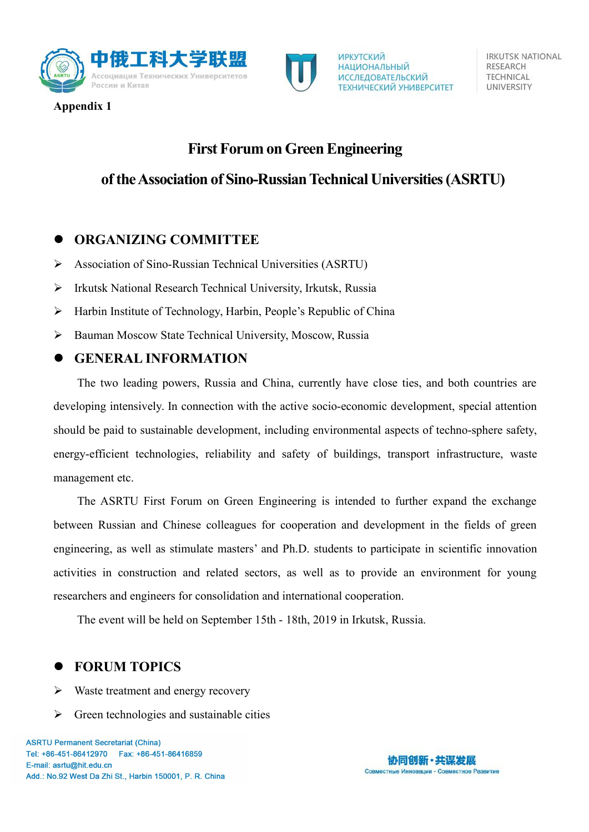

**Appendix 1**

# **First Forum on Green Engineering**

## **oftheAssociation of Sino-RussianTechnical Universities(ASRTU)**

**ИРКУТСКИЙ** 

**НАЦИОНАЛЬНЫЙ** 

**ИССЛЕДОВАТЕЛЬСКИЙ** 

ТЕХНИЧЕСКИЙ УНИВЕРСИТЕТ

## **ORGANIZING COMMITTEE**

- Association of Sino-Russian Technical Universities (ASRTU)
- Irkutsk National Research Technical University, Irkutsk, Russia
- Harbin Institute of Technology, Harbin, People's Republic of China
- Bauman Moscow State Technical University, Moscow, Russia

#### **GENERAL INFORMATION**

The two leading powers, Russia and China, currently have close ties, and both countries are developing intensively. In connection with the active socio-economic development, special attention should be paid to sustainable development, including environmental aspects of techno-sphere safety, energy-efficient technologies, reliability and safety of buildings, transport infrastructure, waste management etc.

The ASRTU First Forum on Green Engineering is intended to further expand the exchange between Russian and Chinese colleagues for cooperation and development in the fields of green engineering, as well as stimulate masters' and Ph.D. students to participate in scientific innovation activities in construction and related sectors, as well as to provide an environment for young researchers and engineers for consolidation and international cooperation.

The event will be held on September 15th - 18th, 2019 in Irkutsk, Russia.

## **FORUM TOPICS**

- $\triangleright$  Waste treatment and energy recovery
- $\triangleright$  Green technologies and sustainable cities



**IRKUTSK NATIONAL** RESEARCH **TECHNICAL UNIVERSITY**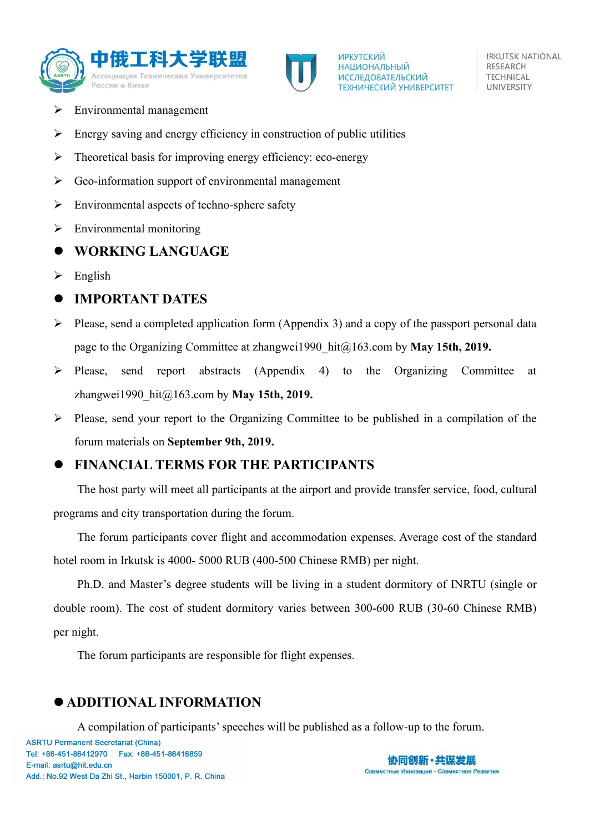



**IRKUTSK NATIONAL** RESEARCH **TECHNICAL UNIVERSITY** 

- Environmental management
- $\triangleright$  Energy saving and energy efficiency in construction of public utilities
- $\triangleright$  Theoretical basis for improving energy efficiency: eco-energy
- $\triangleright$  Geo-information support of environmental management
- $\triangleright$  Environmental aspects of techno-sphere safety
- $\triangleright$  Environmental monitoring

## **WORKING LANGUAGE**

 $\triangleright$  English

## **IMPORTANT DATES**

- $\triangleright$  Please, send a completed application form (Appendix 3) and a copy of the passport personal data page to the Organizing Committee at zhangwei1990\_hit@163.com by **May 15th, 2019.**
- $\triangleright$  Please, send report abstracts (Appendix 4) to the Organizing Committee at zhangwei1990\_hit@163.com by **May 15th, 2019.**
- $\triangleright$  Please, send your report to the Organizing Committee to be published in a compilation of the forum materials on **September 9th, 2019.**

# **FINANCIAL TERMS FOR THE PARTICIPANTS**

The host party will meet all participants at the airport and provide transfer service, food, cultural programs and city transportation during the forum.

The forum participants cover flight and accommodation expenses. Average cost of the standard hotel room in Irkutsk is 4000- 5000 RUB (400-500 Chinese RMB) per night.

Ph.D. and Master's degree students will be living in a student dormitory of INRTU (single or double room). The cost of student dormitory varies between 300-600 RUB (30-60 Chinese RMB) per night.

The forum participants are responsible for flight expenses.

# **ADDITIONAL INFORMATION**

A compilation of participants'speeches will be published as a follow-up to the forum.